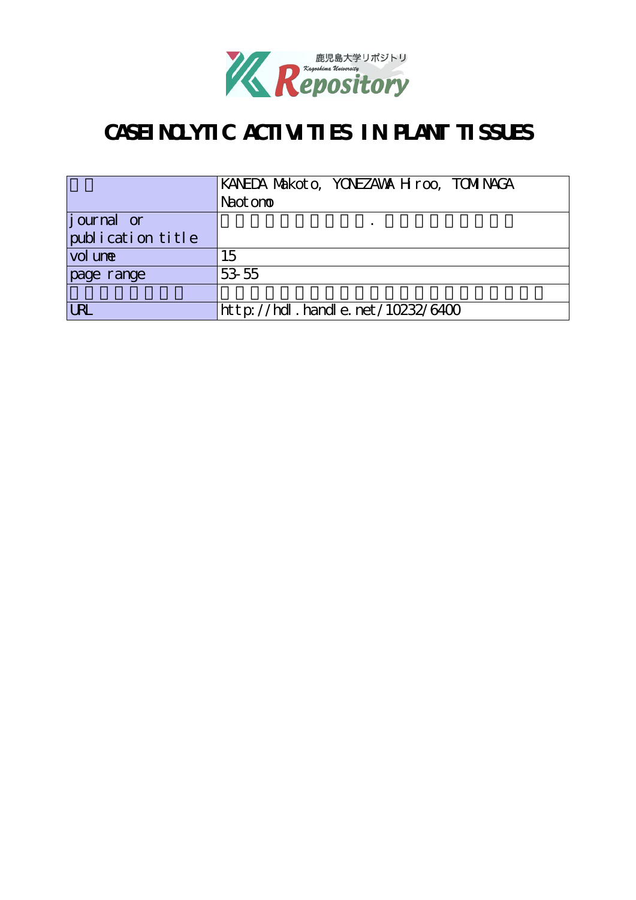

# **CASEINOLYTIC ACTIVITIES IN PLANT TISSUES**

|                   | KANEDA Makoto, YONEZAWA H roo, TOMINAGA |
|-------------------|-----------------------------------------|
|                   | Naot on to                              |
| journal or        |                                         |
| publication title |                                         |
| vol une           | 15                                      |
| page range        | 53 55                                   |
|                   |                                         |
| <b>URI</b>        | http://hdl. handle. net/10232/6400      |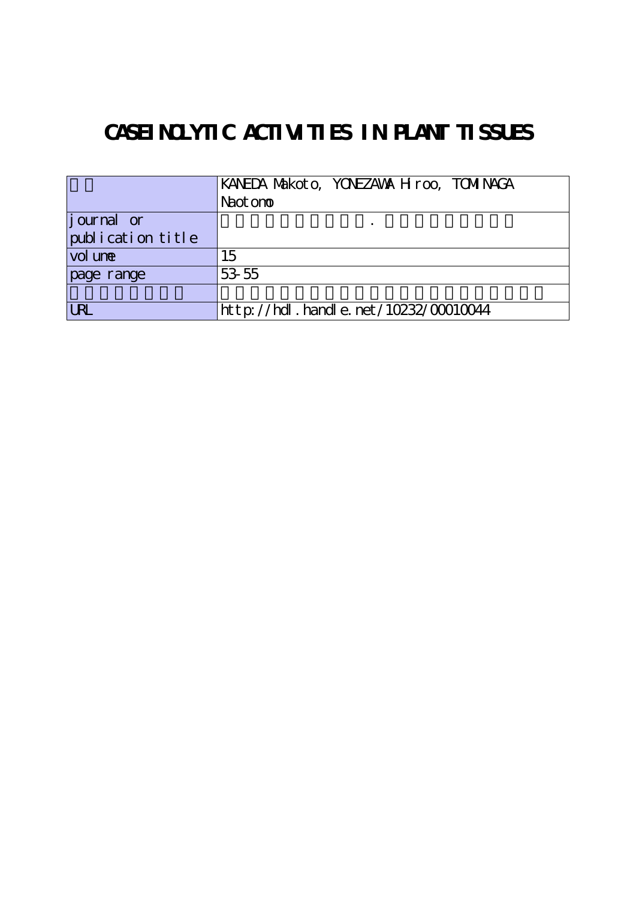# **CASEINOLYTIC ACTIVITIES IN PLANT TISSUES**

|                    | KANEDA NAKOTO, YONEZAWA H roo, TOMINAGA  |
|--------------------|------------------------------------------|
|                    | Naot on <sub>o</sub>                     |
| <i>j</i> ournal or |                                          |
| publication title  |                                          |
| vol une            | 15                                       |
| page range         | 53 55                                    |
|                    |                                          |
| <b>URL</b>         | $http://hdl. handle. net/10232/00010044$ |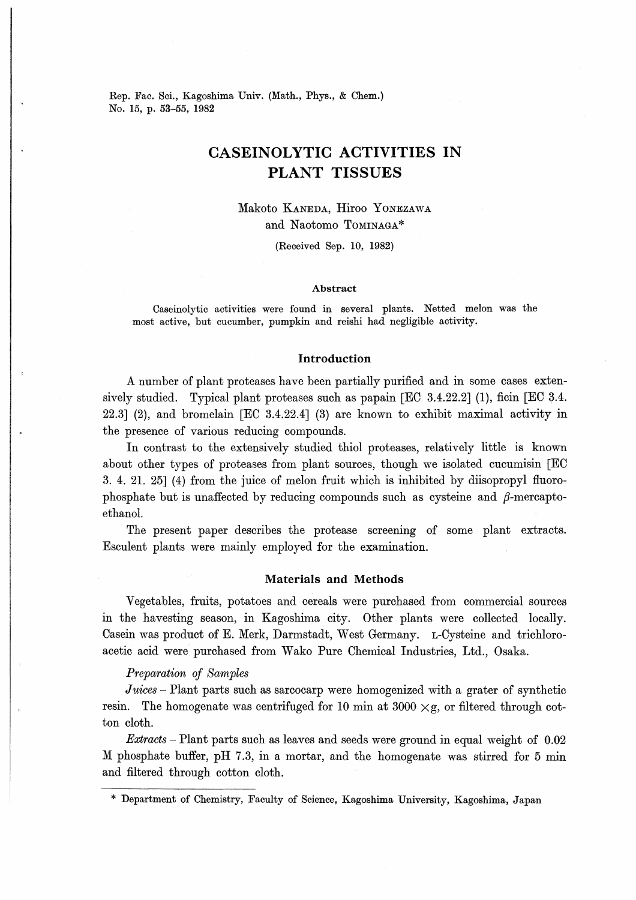Rep. Fac. Sci., Kagoshima Univ. (Math., Phys., & Chem.) No. 15, p. 53-55, 1982

## CASEINOLYTIC ACTIVITIES IN PLANT TISSUES

## Makoto Kaneda. Hiroo Yonezawa and Naotomo Tominaga\*

(Received Sep. 10, 1982)

#### Abstract

Caseinolytic activities were found in several plants. Netted melon was the most active, but cucumber, pumpkin and reishi had negligible activity.

### Introduction

A number of plant proteases have been partially purified and in some cases extensively studied. Typical plant proteases such as papain  $[EC 3.4.22.2]$  (1), ficin  $[EC 3.4.$ 22.3] (2), and bromelain [EC 3.4.22.4] (3) are known to exhibit maximal activity in the presence of various reducing compounds.

In contrast to the extensively studied thiol proteases, relatively little is known about other types of proteases from plant sources, though we isolated cucumism [EC 3. 4. 21. 25] (4) from the juice of melon fruit which is inhibited by diisopropyl fluorophosphate but is unaffected by reducing compounds such as cysteine and  $\beta$ -mercaptoethanol.

The present paper describes the protease screening of some plant extracts. Esculent plants were mainly employed for the examination.

### Materials and Methods

Vegetables, fruits, potatoes and cereals were purchased from commercial sources in the havesting season, in Kagoshima city. Other plants were collected locally. Casein was product of E. Merk, Darmstadt, West Germany. L-Cysteine and trichloroacetic acid were purchased from Wako Pure Chemical Industries, Ltd., Osaka.

### Preparation of Samples

Juices – Plant parts such as sarcocarp were homogenized with a grater of synthetic resin. The homogenate was centrifuged for 10 min at 3000  $\times$ g, or filtered through cotton cloth.

Extracts - Plant parts such as leaves and seeds were ground in equal weight of 0.02 M phosphate buffer, pH 7.3, in a mortar, and the homogenate was stirred for 5 min and filtered through cotton cloth.

Department of Chemistry, Faculty of Science, Kagoshima University, Kagoshima, Japan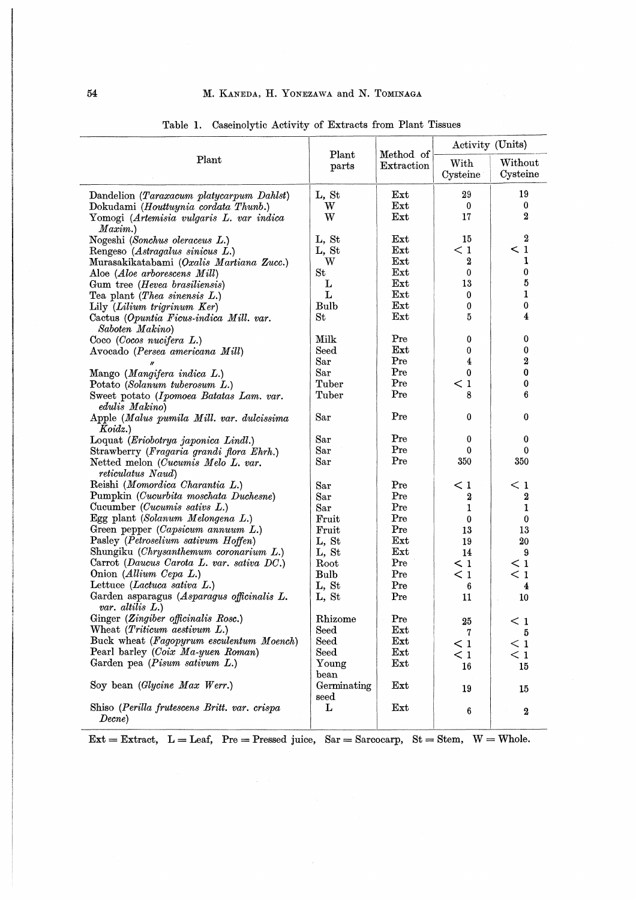|                                                                   |                             | Method of<br>Extraction | Activity (Units) |                     |
|-------------------------------------------------------------------|-----------------------------|-------------------------|------------------|---------------------|
| Plant                                                             | Plant<br>parts              |                         | With<br>Cysteine | Without<br>Cysteine |
| Dandelion (Taraxacum platycarpum Dahlst)                          | L, St                       | $_{\rm Ext}$            | 29               | 19                  |
| Dokudami (Houttuynia cordata Thunb.)                              | W                           | Ext                     | $^{\circ}$       | 0                   |
| Yomogi (Artemisia vulgaris L. var indica<br>Maxim.                | W                           | Ext                     | 17               | $\boldsymbol{2}$    |
| Nogeshi (Sonchus oleraceus L.)                                    | L, St                       | $_{\rm Ext}$            | 15               | $\boldsymbol{2}$    |
| Rengeso (Astragalus sinicus L.)                                   | L, St                       | $_{\rm Ext}$            | $\leq 1$         | $\leq 1$            |
| Murasakikatabami (Oxalis Martiana Zucc.)                          | W                           | Ext                     | 2                | 1                   |
| Aloe ( <i>Aloe arborescens Mill</i> )                             | St                          | Ext                     | 0                | 0                   |
| Gum tree ( <i>Hevea brasiliensis</i> )                            | L                           | $_{\rm Ext}$            | 13               | 5                   |
| Tea plant ( <i>Thea sinensis L.</i> )                             | L                           | $\mathbf{Ext}$          | 0                | $\mathbf{1}$        |
| Lily (Lilium trigrinum Ker)                                       | <b>Bulb</b>                 | $_{\rm Ext}$            | 0                | $\bf{0}$            |
| Cactus (Opuntia Ficus-indica Mill. var.<br>Saboten Makino)        | St                          | Ext                     | 5                | 4                   |
| Coco (Cocos nucifera L.)                                          | Milk                        | Pre                     | 0                | 0                   |
| Avocado (Persea americana Mill)                                   | Seed                        | Ext                     | 0                | 0                   |
|                                                                   | Sar                         | Pre                     | 4                | $\boldsymbol{2}$    |
| Mango (Mangifera indica L.)                                       | Sar                         | Pre                     | 0                | 0                   |
| Potato (Solanum tuberosum L.)                                     | Tuber                       | Pre                     | $\leq 1$         | 0                   |
| Sweet potato (Ipomoea Batatas Lam. var.                           | Tuber                       | Pre                     | 8                | 6                   |
| edulis Makino)<br>Apple (Malus pumila Mill. var. dulcissima       | Sar                         | Pre                     | 0                | 0                   |
| Koidz.                                                            |                             | Pre                     |                  |                     |
| Loquat (Eriobotrya japonica Lindl.)                               | Sar                         | Pre                     | 0<br>0           | 0<br>$\bf{0}$       |
| Strawberry (Fragaria grandi flora Ehrh.)                          | Sar                         | Pre                     | 350              | 350                 |
| Netted melon (Cucumis Melo L. var.<br><i>reticulatus Naud</i> )   | Sar                         |                         |                  |                     |
| Reishi (Momordica Charantia L.)                                   | Sar                         | Pre                     | $<$ 1            | < 1                 |
| Pumpkin (Cucurbita moschata Duchesne)                             | Sar                         | Pre                     | 2                | 2                   |
| Cucumber ( <i>Cucumis sativs L.</i> )                             | $\rm{Sar}$                  | Pre                     | 1                | 1                   |
| Egg plant (Solanum Melongena L.)                                  | Fruit                       | Pre                     | $\bf{0}$         | 0                   |
| Green pepper (Capsicum annuum L.)                                 | Fruit                       | Pre                     | 13               | 13                  |
| Pasley (Petroselium sativum Hoffen)                               | L, St                       | $_{\rm Ext}$            | 19               | 20                  |
| Shungiku (Chrysanthemum coronarium L.)                            | L, St                       | $_{\rm Ext}$            | 14               | 9                   |
| Carrot (Daucus Carota L. var. sativa DC.)                         | Root                        | Pre                     | $\leq 1$         | $\leq 1$            |
| Onion (Allium Cepa L.)                                            | <b>Bulb</b>                 | Pre                     | $\leq 1$         | $\leq 1$            |
| Lettuce (Lactuca sativa L.)                                       | L, St                       | Pre                     | 6                | 4                   |
| Garden asparagus (Asparagus officinalis L.<br>var. altilis $L$ .) | L. St                       | Pre                     | 11               | 10                  |
| Ginger (Zingiber officinalis Rosc.)                               | Rhizome                     | Pre                     | 25               | $\leq 1$            |
| Wheat ( <i>Triticum aestivum L.</i> )                             | $\rm{Seed}$                 | $_{\rm Ext}$            | 7                | 5                   |
| Buck wheat (Fagopyrum esculentum Moench)                          | Seed                        | $_{\rm Ext}$            | $\leq 1$         | $\leq 1$            |
| Pearl barley (Coix Ma-yuen Roman)                                 | $\mathrm{Seed}$             | $_{\rm Ext}$            | $\leq 1$         | $\leq 1$            |
| Garden pea (Pisum sativum L.)                                     | Young<br>$_{\mathrm{bean}}$ | $_{\rm Ext}$            | 16               | 15                  |
| Soy bean (Glycine Max Werr.)                                      | Germinating<br>seed         | Ext                     | 19               | 15                  |
| Shiso (Perilla frutescens Britt. var. crispa<br>Decne)            | L                           | Ext                     | $\boldsymbol{6}$ | $\boldsymbol{2}$    |

Table 1. Caseinolytic Activity of Extracts from Plant Tissues

 $\text{Ext} = \text{Extract}, \ \ L = \text{Leaf}, \ \ \text{Pre} = \text{Pressed juice}, \ \ \text{Sar} = \text{Sarcocarp}, \ \ \text{St} = \text{Stem}, \ \ W = \text{Whole}.$ 

 $\mathcal{L}^{\mathcal{L}}$ 

 $\tilde{\varphi}=\tilde{\varphi}$